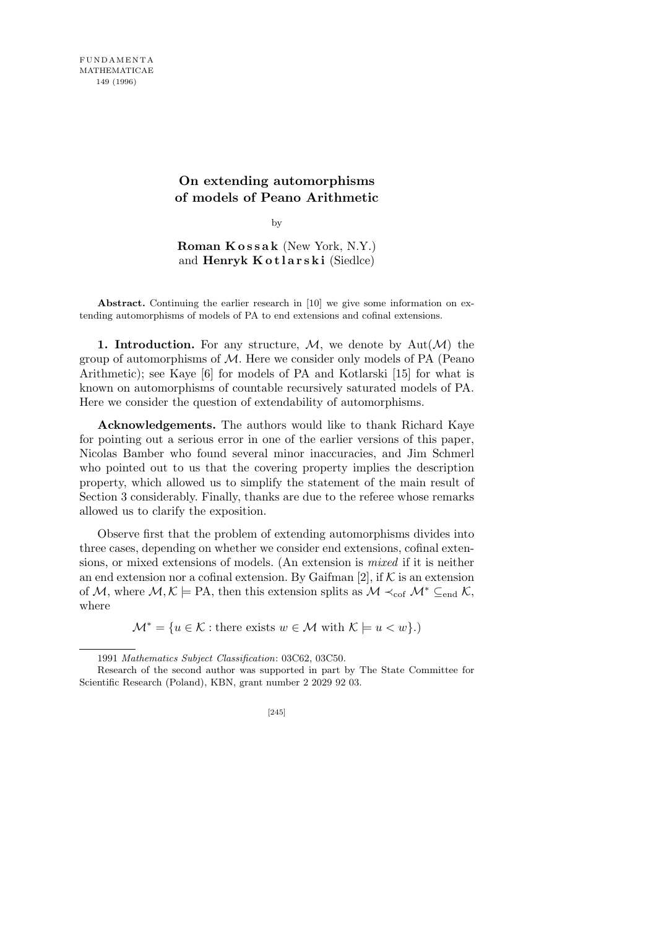## **On extending automorphisms of models of Peano Arithmetic**

by

**Roman K o s s a k** (New York, N.Y.) and **Henryk Kotlarski** (Siedlce)

**Abstract.** Continuing the earlier research in [10] we give some information on extending automorphisms of models of PA to end extensions and cofinal extensions.

**1. Introduction.** For any structure,  $M$ , we denote by  $Aut(M)$  the group of automorphisms of *M*. Here we consider only models of PA (Peano Arithmetic); see Kaye [6] for models of PA and Kotlarski [15] for what is known on automorphisms of countable recursively saturated models of PA. Here we consider the question of extendability of automorphisms.

**Acknowledgements.** The authors would like to thank Richard Kaye for pointing out a serious error in one of the earlier versions of this paper, Nicolas Bamber who found several minor inaccuracies, and Jim Schmerl who pointed out to us that the covering property implies the description property, which allowed us to simplify the statement of the main result of Section 3 considerably. Finally, thanks are due to the referee whose remarks allowed us to clarify the exposition.

Observe first that the problem of extending automorphisms divides into three cases, depending on whether we consider end extensions, cofinal extensions, or mixed extensions of models. (An extension is *mixed* if it is neither an end extension nor a cofinal extension. By Gaifman  $[2]$ , if  $K$  is an extension of *M*, where  $M, K \models PA$ , then this extension splits as  $M \prec_{\text{cof}} M^* \subseteq_{\text{end}} K$ , where

 $\mathcal{M}^* = \{u \in \mathcal{K} : \text{there exists } w \in \mathcal{M} \text{ with } \mathcal{K} \models u < w\}.$ 

<sup>1991</sup> *Mathematics Subject Classification*: 03C62, 03C50.

Research of the second author was supported in part by The State Committee for Scientific Research (Poland), KBN, grant number 2 2029 92 03.

<sup>[245]</sup>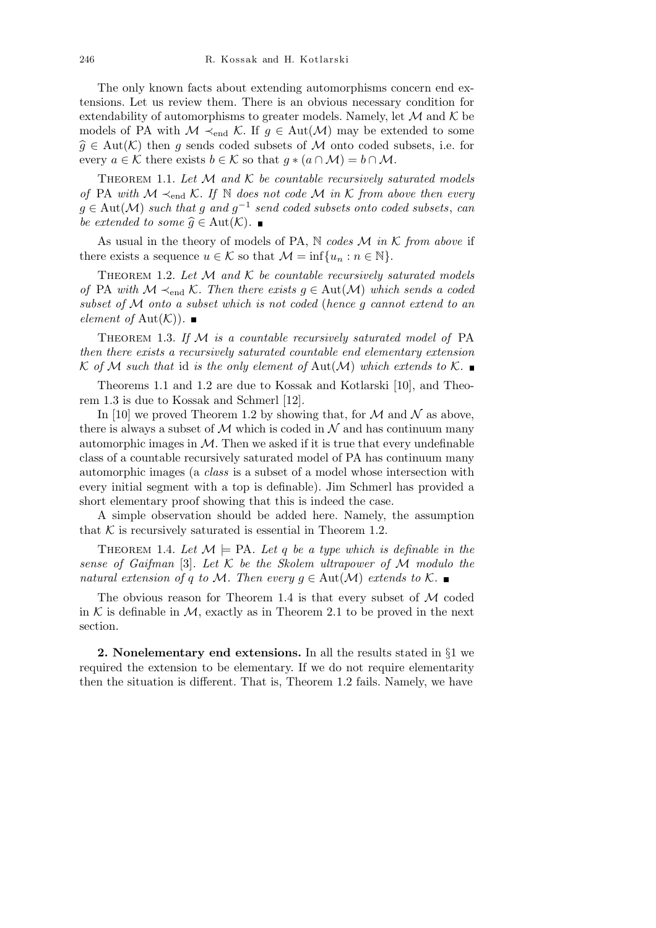The only known facts about extending automorphisms concern end extensions. Let us review them. There is an obvious necessary condition for extendability of automorphisms to greater models. Namely, let  $\mathcal M$  and  $\mathcal K$  be models of PA with  $M \prec_{end} \mathcal{K}$ . If  $g \in Aut(\mathcal{M})$  may be extended to some  $\widehat{g} \in \text{Aut}(\mathcal{K})$  then *g* sends coded subsets of *M* onto coded subsets, i.e. for every  $a \in \mathcal{K}$  there exists  $b \in \mathcal{K}$  so that  $g * (a \cap \mathcal{M}) = b \cap \mathcal{M}$ .

THEOREM 1.1. Let  $M$  and  $K$  be countable recursively saturated models *of* PA *with M ≺*end *K. If* N *does not code M in K from above then every g ∈* Aut(*M*) *such that g and g −*1 *send coded subsets onto coded subsets*, *can be extended to some*  $\hat{q}$  ∈ Aut( $K$ ). ■

As usual in the theory of models of PA, N *codes M in K from above* if there exists a sequence  $u \in \mathcal{K}$  so that  $\mathcal{M} = \inf\{u_n : n \in \mathbb{N}\}.$ 

THEOREM 1.2. Let  $M$  and  $K$  be countable recursively saturated models *of* PA *with*  $M$  ≺<sub>end</sub>  $K$ *. Then there exists*  $q ∈ Aut(M)$  *which sends a coded subset of M onto a subset which is not coded* (*hence g cannot extend to an element of*  $Aut(K)$ *.*  $\blacksquare$ 

Theorem 1.3. *If M is a countable recursively saturated model of* PA *then there exists a recursively saturated countable end elementary extension*  $K$  *of*  $M$  *such that* id *is the only element of*  $Aut(M)$  *which extends to*  $K$ .

Theorems 1.1 and 1.2 are due to Kossak and Kotlarski [10], and Theorem 1.3 is due to Kossak and Schmerl [12].

In [10] we proved Theorem 1.2 by showing that, for  $M$  and  $N$  as above, there is always a subset of  $\mathcal M$  which is coded in  $\mathcal N$  and has continuum many automorphic images in  $M$ . Then we asked if it is true that every undefinable class of a countable recursively saturated model of PA has continuum many automorphic images (a *class* is a subset of a model whose intersection with every initial segment with a top is definable). Jim Schmerl has provided a short elementary proof showing that this is indeed the case.

A simple observation should be added here. Namely, the assumption that  $K$  is recursively saturated is essential in Theorem 1.2.

THEOREM 1.4. Let  $M \models PA$ . Let q be a type which is definable in the *sense of Gaifman* [3]*. Let K be the Skolem ultrapower of M modulo the natural extension of q to M. Then every*  $g \in Aut(M)$  *extends to*  $K$ *.* 

The obvious reason for Theorem 1.4 is that every subset of *M* coded in  $K$  is definable in  $M$ , exactly as in Theorem 2.1 to be proved in the next section.

**2. Nonelementary end extensions.** In all the results stated in *§*1 we required the extension to be elementary. If we do not require elementarity then the situation is different. That is, Theorem 1.2 fails. Namely, we have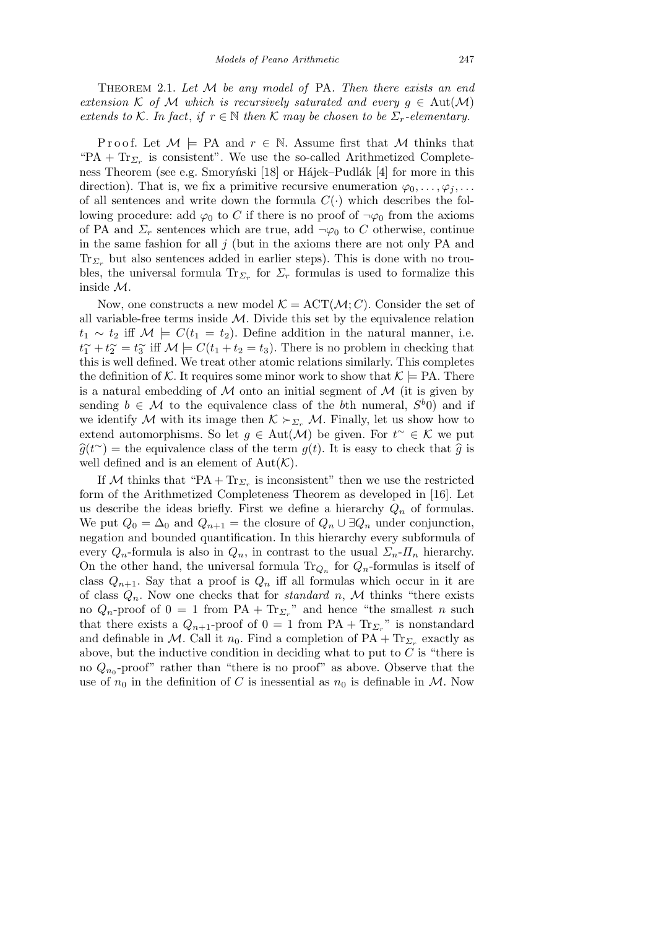Theorem 2.1. *Let M be any model of* PA*. Then there exists an end extension*  $K$  *of*  $M$  *which is recursively saturated and every*  $g \in Aut(M)$ *extends to*  $K$ *. In fact, if*  $r \in \mathbb{N}$  *then*  $K$  *may be chosen to be*  $\Sigma_r$ *-elementary.* 

Proof. Let  $M \models PA$  and  $r \in \mathbb{N}$ . Assume first that M thinks that " $PA + Tr_{\Sigma_r}$  is consistent". We use the so-called Arithmetized Completeness Theorem (see e.g. Smoryński [18] or Hájek–Pudlák [4] for more in this direction). That is, we fix a primitive recursive enumeration  $\varphi_0, \ldots, \varphi_i, \ldots$ of all sentences and write down the formula  $C(\cdot)$  which describes the following procedure: add  $\varphi_0$  to *C* if there is no proof of  $\neg \varphi_0$  from the axioms of PA and  $\Sigma_r$  sentences which are true, add  $\neg \varphi_0$  to C otherwise, continue in the same fashion for all *j* (but in the axioms there are not only PA and Tr*<sup>Σ</sup><sup>r</sup>* but also sentences added in earlier steps). This is done with no troubles, the universal formula  $Tr_{\Sigma_r}$  for  $\Sigma_r$  formulas is used to formalize this inside *M*.

Now, one constructs a new model  $K = ACT(M; C)$ . Consider the set of all variable-free terms inside *M*. Divide this set by the equivalence relation *t*<sub>1</sub>  $∼ t_2$  iff *M*  $\models C(t_1 = t_2)$ . Define addition in the natural manner, i.e.  $t_1^{\sim} + t_2^{\sim} = t_3^{\sim}$  iff  $\mathcal{M} \models C(t_1 + t_2 = t_3)$ . There is no problem in checking that this is well defined. We treat other atomic relations similarly. This completes the definition of *K*. It requires some minor work to show that  $K \models PA$ . There is a natural embedding of  $M$  onto an initial segment of  $M$  (it is given by sending  $b \in \mathcal{M}$  to the equivalence class of the *b*th numeral,  $S^{b}(0)$  and if we identify  $M$  with its image then  $K \succ_{\Sigma_r} M$ . Finally, let us show how to extend automorphisms. So let  $g \in Aut(\mathcal{M})$  be given. For  $t^{\sim} \in \mathcal{K}$  we put  $\hat{g}(t^{\sim})$  = the equivalence class of the term  $g(t)$ . It is easy to check that  $\hat{g}$  is well defined and is an element of  $Aut(K)$ .

If *M* thinks that "PA +  $Tr_{\Sigma_r}$  is inconsistent" then we use the restricted form of the Arithmetized Completeness Theorem as developed in [16]. Let us describe the ideas briefly. First we define a hierarchy  $Q_n$  of formulas. We put  $Q_0 = \Delta_0$  and  $Q_{n+1}$  = the closure of  $Q_n \cup \exists Q_n$  under conjunction, negation and bounded quantification. In this hierarchy every subformula of every  $Q_n$ -formula is also in  $Q_n$ , in contrast to the usual  $\Sigma_n$ - $\Pi_n$  hierarchy. On the other hand, the universal formula  $\text{Tr}_{Q_n}$  for  $Q_n$ -formulas is itself of class  $Q_{n+1}$ . Say that a proof is  $Q_n$  iff all formulas which occur in it are of class  $Q_n$ . Now one checks that for *standard n*, M thinks "there exists no  $Q_n$ -proof of  $0 = 1$  from  $PA + Tr_{\Sigma_r}$ " and hence "the smallest *n* such that there exists a  $Q_{n+1}$ -proof of  $0 = 1$  from  $PA + Tr_{\Sigma_r}$ " is nonstandard and definable in *M*. Call it  $n_0$ . Find a completion of  $PA + Tr_{\Sigma_r}$  exactly as above, but the inductive condition in deciding what to put to *C* is "there is no  $Q_{n_0}$ -proof" rather than "there is no proof" as above. Observe that the use of  $n_0$  in the definition of *C* is inessential as  $n_0$  is definable in *M*. Now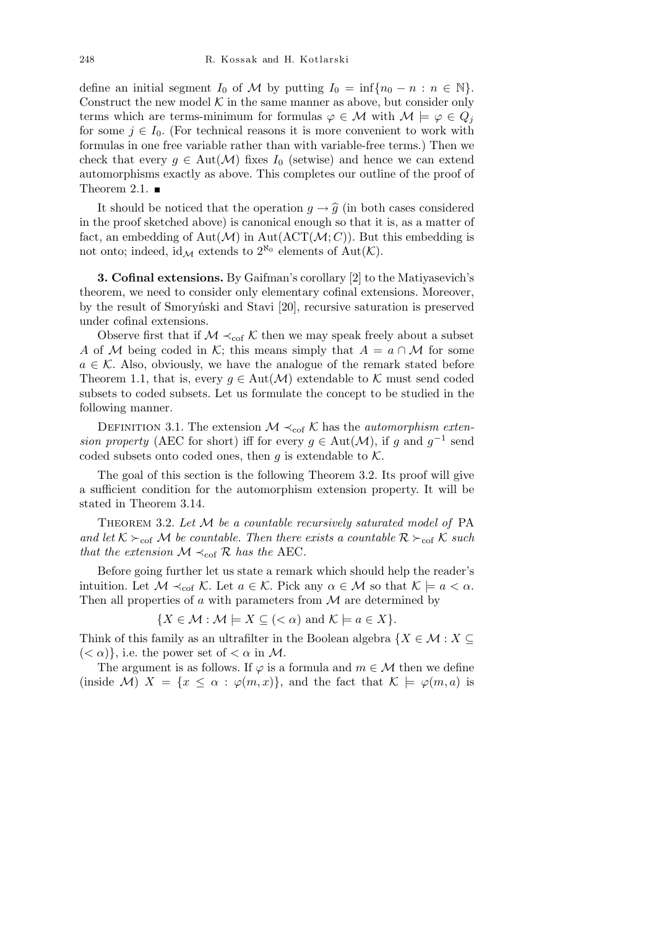define an initial segment  $I_0$  of  $M$  by putting  $I_0 = \inf\{n_0 - n : n \in \mathbb{N}\}.$ Construct the new model  $K$  in the same manner as above, but consider only terms which are terms-minimum for formulas  $\varphi \in \mathcal{M}$  with  $\mathcal{M} \models \varphi \in Q_j$ for some  $j \in I_0$ . (For technical reasons it is more convenient to work with formulas in one free variable rather than with variable-free terms.) Then we check that every  $g \in Aut(\mathcal{M})$  fixes  $I_0$  (setwise) and hence we can extend automorphisms exactly as above. This completes our outline of the proof of Theorem 2.1.  $\blacksquare$ 

It should be noticed that the operation  $g \to \hat{g}$  (in both cases considered in the proof sketched above) is canonical enough so that it is, as a matter of fact, an embedding of  $Aut(M)$  in  $Aut(ACT(M; C))$ . But this embedding is not onto; indeed, id<sub>M</sub> extends to  $2^{\aleph_0}$  elements of Aut(*K*).

**3. Cofinal extensions.** By Gaifman's corollary [2] to the Matiyasevich's theorem, we need to consider only elementary cofinal extensions. Moreover, by the result of Smoryński and Stavi [20], recursive saturation is preserved under cofinal extensions.

Observe first that if  $M \prec_{\text{cof}} K$  then we may speak freely about a subset *A* of *M* being coded in *K*; this means simply that  $A = a \cap M$  for some  $a \in \mathcal{K}$ . Also, obviously, we have the analogue of the remark stated before Theorem 1.1, that is, every  $g \in Aut(\mathcal{M})$  extendable to  $\mathcal K$  must send coded subsets to coded subsets. Let us formulate the concept to be studied in the following manner.

DEFINITION 3.1. The extension  $M \prec_{\text{cof}} K$  has the *automorphism extension property* (AEC for short) iff for every  $g \in Aut(\mathcal{M})$ , if *g* and  $g^{-1}$  send coded subsets onto coded ones, then  $q$  is extendable to  $K$ .

The goal of this section is the following Theorem 3.2. Its proof will give a sufficient condition for the automorphism extension property. It will be stated in Theorem 3.14.

Theorem 3.2. *Let M be a countable recursively saturated model of* PA *and let*  $K \succeq_{\text{cof}} M$  *be countable. Then there exists a countable*  $R \succeq_{\text{cof}} K$  *such that the extension*  $M \prec_{\text{cof}} R$  *has the* AEC.

Before going further let us state a remark which should help the reader's intuition. Let  $M \prec_{\text{cof}} K$ . Let  $a \in K$ . Pick any  $\alpha \in M$  so that  $K \models a \prec \alpha$ . Then all properties of *a* with parameters from *M* are determined by

$$
\{X \in \mathcal{M} : \mathcal{M} \models X \subseteq (<\alpha) \text{ and } \mathcal{K} \models a \in X\}.
$$

Think of this family as an ultrafilter in the Boolean algebra  $\{X \in \mathcal{M} : X \subseteq \mathcal{M}\}$  $( $\alpha$ )\},$  i.e. the power set of  $$\alpha$  in M.$ 

The argument is as follows. If  $\varphi$  is a formula and  $m \in \mathcal{M}$  then we define (inside *M*)  $X = \{x \leq \alpha : \varphi(m, x)\}\)$ , and the fact that  $K \models \varphi(m, a)$  is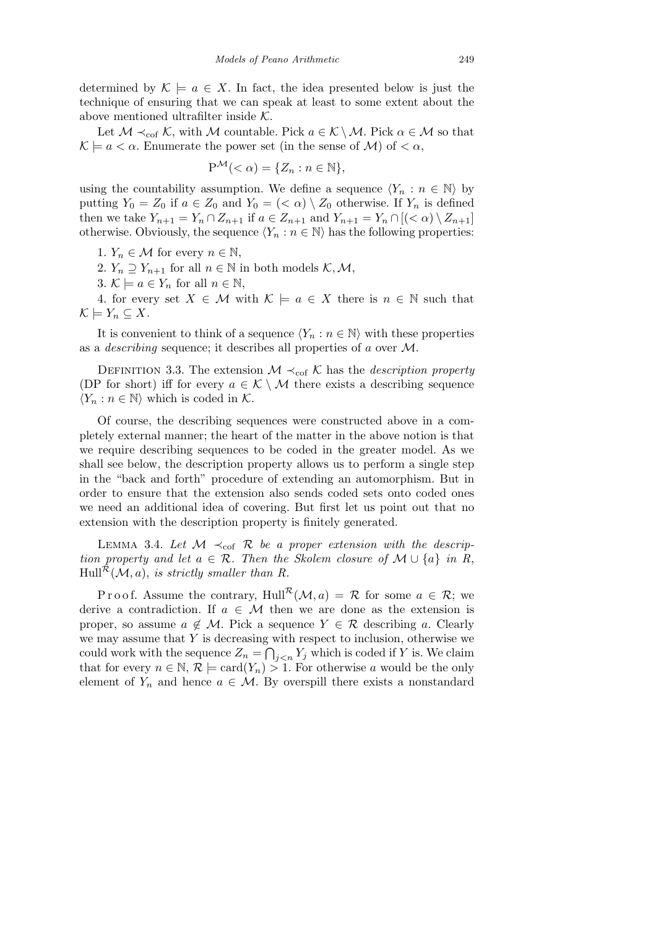determined by  $K \models a \in X$ . In fact, the idea presented below is just the technique of ensuring that we can speak at least to some extent about the above mentioned ultrafilter inside *K*.

Let  $M \prec_{\text{cof}} K$ , with  $M$  countable. Pick  $a \in K \setminus M$ . Pick  $\alpha \in M$  so that  $\mathcal{K} \models a < \alpha$ . Enumerate the power set (in the sense of *M*) of  $< \alpha$ ,

$$
\mathbf{P}^{\mathcal{M}}(<\alpha) = \{Z_n : n \in \mathbb{N}\},\
$$

using the countability assumption. We define a sequence  $\langle Y_n : n \in \mathbb{N} \rangle$  by putting  $Y_0 = Z_0$  if  $a \in Z_0$  and  $Y_0 = \langle \langle \alpha \rangle \setminus Z_0$  otherwise. If  $Y_n$  is defined then we take  $Y_{n+1} = Y_n \cap Z_{n+1}$  if  $a \in Z_{n+1}$  and  $Y_{n+1} = Y_n \cap [(*a*) \setminus Z_{n+1}]$ otherwise. Obviously, the sequence  $\langle Y_n : n \in \mathbb{N} \rangle$  has the following properties:

1.  $Y_n \in \mathcal{M}$  for every  $n \in \mathbb{N}$ ,

2.  $Y_n \supseteq Y_{n+1}$  for all  $n \in \mathbb{N}$  in both models  $K, \mathcal{M}$ ,

3.  $K \models a \in Y_n$  for all  $n \in \mathbb{N}$ ,

4. for every set  $X \in \mathcal{M}$  with  $\mathcal{K} \models a \in X$  there is  $n \in \mathbb{N}$  such that  $\mathcal{K} \models Y_n \subseteq X$ .

It is convenient to think of a sequence  $\langle Y_n : n \in \mathbb{N} \rangle$  with these properties as a *describing* sequence; it describes all properties of *a* over *M*.

DEFINITION 3.3. The extension  $M \prec_{\text{cof}} K$  has the *description property* (DP for short) iff for every  $a \in \mathcal{K} \setminus \mathcal{M}$  there exists a describing sequence  $\langle Y_n : n \in \mathbb{N} \rangle$  which is coded in  $\mathcal{K}$ .

Of course, the describing sequences were constructed above in a completely external manner; the heart of the matter in the above notion is that we require describing sequences to be coded in the greater model. As we shall see below, the description property allows us to perform a single step in the "back and forth" procedure of extending an automorphism. But in order to ensure that the extension also sends coded sets onto coded ones we need an additional idea of covering. But first let us point out that no extension with the description property is finitely generated.

LEMMA 3.4. Let  $M \prec_{\text{cof}} R$  be a proper extension with the descrip*tion property and let*  $a \in \mathcal{R}$ *. Then the Skolem closure of*  $\mathcal{M} \cup \{a\}$  *in R*,  $Hull^{\mathcal{R}}(\mathcal{M}, a)$ , *is strictly smaller than R.* 

Proof. Assume the contrary, Hull<sup> $\mathcal{R}(\mathcal{M},a) = \mathcal{R}$  for some  $a \in \mathcal{R}$ ; we</sup> derive a contradiction. If  $a \in \mathcal{M}$  then we are done as the extension is proper, so assume  $a \notin \mathcal{M}$ . Pick a sequence  $Y \in \mathcal{R}$  describing a. Clearly we may assume that *Y* is decreasing with respect to inclusion, otherwise we could work with the sequence  $Z_n =$  $\frac{3}{2}$  $j \lt n$ <sup>*Y*<sub>j</sub></sup> which is coded if *Y* is. We claim that for every  $n \in \mathbb{N}, \mathcal{R} \models \text{card}(Y_n) > 1$ . For otherwise *a* would be the only element of  $Y_n$  and hence  $a \in \mathcal{M}$ . By overspill there exists a nonstandard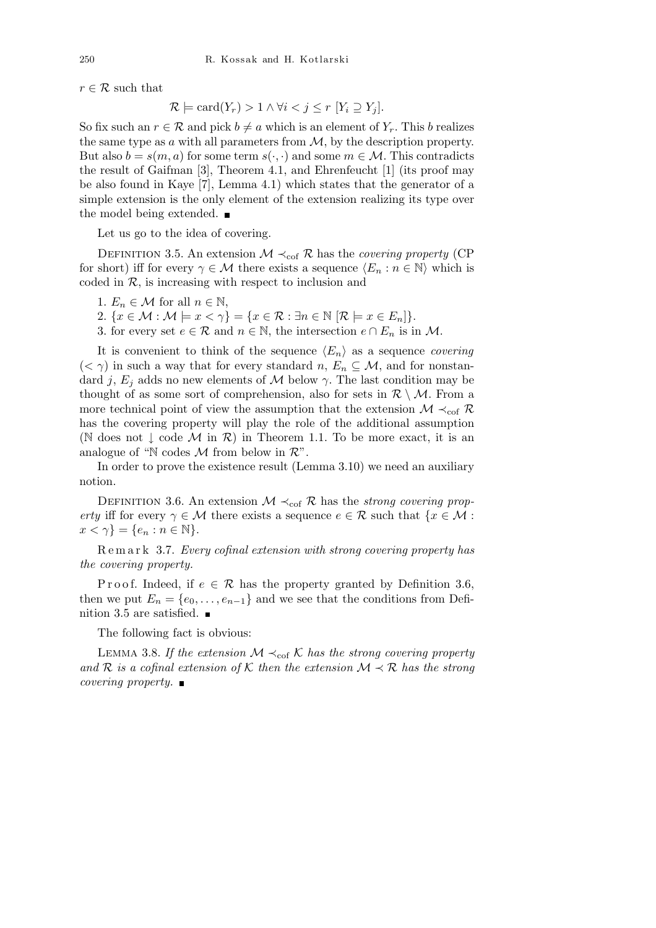$r \in \mathcal{R}$  such that

$$
\mathcal{R} \models \text{card}(Y_r) > 1 \land \forall i < j \le r \ [Y_i \supseteq Y_j].
$$

So fix such an  $r \in \mathcal{R}$  and pick  $b \neq a$  which is an element of  $Y_r$ . This *b* realizes the same type as *a* with all parameters from *M*, by the description property. But also  $b = s(m, a)$  for some term  $s(\cdot, \cdot)$  and some  $m \in \mathcal{M}$ . This contradicts the result of Gaifman [3], Theorem 4.1, and Ehrenfeucht [1] (its proof may be also found in Kaye [7], Lemma 4.1) which states that the generator of a simple extension is the only element of the extension realizing its type over the model being extended.

Let us go to the idea of covering.

DEFINITION 3.5. An extension  $M \prec_{\text{cof}} R$  has the *covering property* (CP for short) iff for every  $\gamma \in \mathcal{M}$  there exists a sequence  $\langle E_n : n \in \mathbb{N} \rangle$  which is coded in  $R$ , is increasing with respect to inclusion and

- 1.  $E_n \in \mathcal{M}$  for all  $n \in \mathbb{N}$ ,
- 2.  $\{x \in \mathcal{M} : \mathcal{M} \models x < \gamma\} = \{x \in \mathcal{R} : \exists n \in \mathbb{N} \; | \mathcal{R} \models x \in E_n \}$ .
- 3. for every set  $e \in \mathcal{R}$  and  $n \in \mathbb{N}$ , the intersection  $e \cap E_n$  is in M.

It is convenient to think of the sequence  $\langle E_n \rangle$  as a sequence *covering*  $(< \gamma$ ) in such a way that for every standard *n*,  $E_n \subseteq M$ , and for nonstandard *j*,  $E_j$  adds no new elements of M below  $\gamma$ . The last condition may be thought of as some sort of comprehension, also for sets in  $\mathcal{R} \setminus \mathcal{M}$ . From a more technical point of view the assumption that the extension  $\mathcal{M} \prec_{\text{cof}} \mathcal{R}$ has the covering property will play the role of the additional assumption (N does not *↓* code *M* in *R*) in Theorem 1.1. To be more exact, it is an analogue of "N codes *M* from below in *R*".

In order to prove the existence result (Lemma 3.10) we need an auxiliary notion.

DEFINITION 3.6. An extension  $M \prec_{\text{cof}} R$  has the *strong covering property* iff for every  $\gamma \in \mathcal{M}$  there exists a sequence  $e \in \mathcal{R}$  such that  $\{x \in \mathcal{M} :$  $x < \gamma$ } = { $e_n : n \in \mathbb{N}$ }*.* 

R e m a r k 3.7. *Every cofinal extension with strong covering property has the covering property.*

P r o o f. Indeed, if  $e \in \mathcal{R}$  has the property granted by Definition 3.6, then we put  $E_n = \{e_0, \ldots, e_{n-1}\}\$  and we see that the conditions from Definition 3.5 are satisfied.  $\blacksquare$ 

The following fact is obvious:

LEMMA 3.8. If the extension  $M \nmid_{\text{cof}} K$  has the strong covering property *and*  $\mathcal{R}$  *is a cofinal extension of*  $\mathcal{K}$  *then the extension*  $\mathcal{M} \prec \mathcal{R}$  *has the strong covering property.*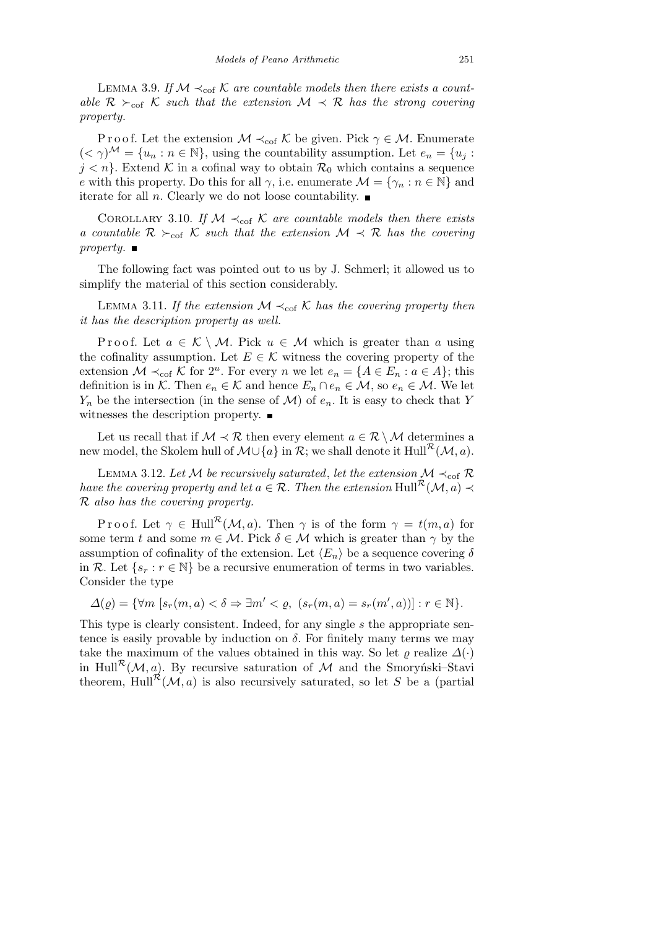LEMMA 3.9. If  $M \prec_{\text{cof}} K$  are countable models then there exists a count*able*  $\mathcal{R}$   $\succ_{\text{cof}}$   $\mathcal{K}$  *such that the extension*  $\mathcal{M} \prec \mathcal{R}$  *has the strong covering property.*

P r o o f. Let the extension  $M \prec_{\text{cof}} K$  be given. Pick  $\gamma \in M$ . Enumerate  $( $\gamma$ )<sup>M</sup> = { $u_n : n \in \mathbb{N}$ }, using the countability assumption. Let  $e_n = \{u_j : j \in \mathbb{N}\}$$  $j < n$ <sup>}</sup>. Extend K in a cofinal way to obtain  $\mathcal{R}_0$  which contains a sequence *e* with this property. Do this for all  $\gamma$ , i.e. enumerate  $\mathcal{M} = {\gamma_n : n \in \mathbb{N}}$  and iterate for all *n*. Clearly we do not loose countability.  $\blacksquare$ 

COROLLARY 3.10. If  $M \prec_{\text{cof}} K$  are countable models then there exists *a countable*  $\mathcal{R}$   $\succ_{\text{cof}} \mathcal{K}$  *such that the extension*  $\mathcal{M} \prec \mathcal{R}$  *has the covering property.*

The following fact was pointed out to us by J. Schmerl; it allowed us to simplify the material of this section considerably.

LEMMA 3.11. *If the extension*  $M \prec_{\text{cof}} K$  *has the covering property then it has the description property as well.*

Proof. Let  $a \in \mathcal{K} \setminus \mathcal{M}$ . Pick  $u \in \mathcal{M}$  which is greater than a using the cofinality assumption. Let  $E \in \mathcal{K}$  witness the covering property of the extension  $\mathcal{M} \prec_{\text{cof}} \mathcal{K}$  for 2<sup>*u*</sup>. For every *n* we let  $e_n = \{A \in E_n : a \in A\}$ ; this definition is in  $K$ . Then  $e_n \in K$  and hence  $E_n \cap e_n \in M$ , so  $e_n \in M$ . We let  $Y_n$  be the intersection (in the sense of *M*) of  $e_n$ . It is easy to check that *Y* witnesses the description property.  $\blacksquare$ 

Let us recall that if  $M \prec \mathcal{R}$  then every element  $a \in \mathcal{R} \setminus M$  determines a new model, the Skolem hull of  $\mathcal{M}\cup\{a\}$  in  $\mathcal{R}$ ; we shall denote it Hull<sup> $\mathcal{R}(\mathcal{M},a)$ .</sup>

LEMMA 3.12. Let *M* be recursively saturated, let the extension  $M \prec_{\text{cof}} R$ *have the covering property and let*  $a \in \mathcal{R}$ *. Then the extension* Hull<sup> $\mathcal{R}(\mathcal{M}, a) \prec$ </sup> *R also has the covering property.*

Proof. Let  $\gamma \in Hull^{\mathcal{R}}(\mathcal{M}, a)$ . Then  $\gamma$  is of the form  $\gamma = t(m, a)$  for some term *t* and some  $m \in \mathcal{M}$ . Pick  $\delta \in \mathcal{M}$  which is greater than  $\gamma$  by the assumption of cofinality of the extension. Let  $\langle E_n \rangle$  be a sequence covering  $\delta$ in *R*. Let  $\{s_r : r \in \mathbb{N}\}\$ be a recursive enumeration of terms in two variables. Consider the type

 $\Delta(\varrho) = {\forall m \ [s_r(m, a) < \delta \Rightarrow \exists m' < \varrho, \ (s_r(m, a) = s_r(m', a))] : r \in \mathbb{N}}.$ 

This type is clearly consistent. Indeed, for any single *s* the appropriate sentence is easily provable by induction on  $\delta$ . For finitely many terms we may take the maximum of the values obtained in this way. So let  $\varrho$  realize  $\varDelta(\cdot)$ in Hull<sup>R</sup>( $M$ , a). By recursive saturation of  $M$  and the Smorynski–Stavi theorem, Hull<sup> $\mathcal{R}(\mathcal{M},a)$  is also recursively saturated, so let *S* be a (partial</sup>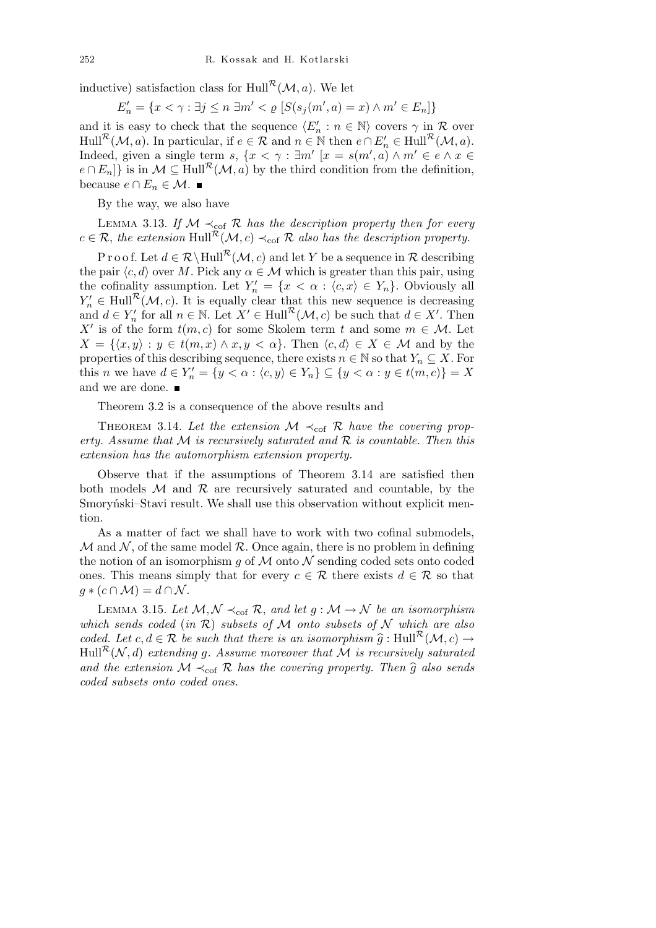inductive) satisfaction class for Hull<sup> $R$ </sup>( $M$ *, a*). We let

$$
E'_n = \{ x < \gamma : \exists j \le n \ \exists m' < \varrho \ [ S(s_j(m', a) = x) \land m' \in E_n ] \}
$$

and it is easy to check that the sequence  $\langle E'_n : n \in \mathbb{N} \rangle$  covers  $\gamma$  in  $\mathcal R$  over  $Hull^{\mathcal{R}}(\mathcal{M}, a)$ . In particular, if  $e \in \mathcal{R}$  and  $n \in \mathbb{N}$  then  $e \cap E'_{n} \in Hull^{\mathcal{R}}(\mathcal{M}, a)$ . Indeed, given a single term *s*,  $\{x < \gamma : \exists m' \mid x = s(m', a) \land m' \in e \land x \in e\}$  $e \cap E_n$ } is in  $M \subseteq \text{Hull}^{\mathcal{R}}(\mathcal{M}, a)$  by the third condition from the definition, because  $e \cap E_n \in \mathcal{M}$ . ■

By the way, we also have

LEMMA 3.13. *If*  $M \prec_{\text{cof}} R$  *has the description property then for every*  $c \in \mathcal{R}$ , the extension Hull<sup> $\mathcal{R}(\mathcal{M}, c) \prec_{\text{cof}} \mathcal{R}$  also has the description property.</sup>

P r o o f. Let  $d \in \mathcal{R} \setminus \text{Hull}^{\mathcal{R}}(\mathcal{M}, c)$  and let Y be a sequence in  $\mathcal{R}$  describing the pair  $\langle c, d \rangle$  over *M*. Pick any  $\alpha \in \mathcal{M}$  which is greater than this pair, using the cofinality assumption. Let  $Y'_n = \{x < \alpha : \langle c, x \rangle \in Y_n\}$ . Obviously all  $Y'_n \in \text{Hull}^{\mathcal{R}}(\mathcal{M}, c)$ . It is equally clear that this new sequence is decreasing and  $d \in Y_n'$  for all  $n \in \mathbb{N}$ . Let  $X' \in \text{Hull}^{\mathcal{R}}(\mathcal{M}, c)$  be such that  $d \in X'$ . Then *X*<sup>*i*</sup> is of the form  $t(m, c)$  for some Skolem term *t* and some  $m \in \mathcal{M}$ . Let  $X = \{ \langle x, y \rangle : y \in t(m, x) \land x, y < \alpha \}.$  Then  $\langle c, d \rangle \in X \in \mathcal{M}$  and by the properties of this describing sequence, there exists  $n \in \mathbb{N}$  so that  $Y_n \subseteq X$ . For this *n* we have  $d \in Y'_n = \{y < \alpha : \langle c, y \rangle \in Y_n\} \subseteq \{y < \alpha : y \in t(m, c)\} = X$ and we are done.

Theorem 3.2 is a consequence of the above results and

THEOREM 3.14. Let the extension  $M \prec_{\text{cof}} R$  have the covering prop*erty. Assume that M is recursively saturated and R is countable. Then this extension has the automorphism extension property.*

Observe that if the assumptions of Theorem 3.14 are satisfied then both models  $M$  and  $R$  are recursively saturated and countable, by the Smoryński–Stavi result. We shall use this observation without explicit mention.

As a matter of fact we shall have to work with two cofinal submodels,  $M$  and  $N$ , of the same model  $R$ . Once again, there is no problem in defining the notion of an isomorphism  $g$  of  $M$  onto  $N$  sending coded sets onto coded ones. This means simply that for every  $c \in \mathcal{R}$  there exists  $d \in \mathcal{R}$  so that  $g * (c \cap \mathcal{M}) = d \cap \mathcal{N}$ .

LEMMA 3.15. Let  $M, N \prec_{\text{cof}} R$ , and let  $g : M \to N$  be an isomorphism *which sends coded* (*in R*) *subsets of M onto subsets of N which are also coded.* Let  $c, d \in \mathcal{R}$  be such that there is an isomorphism  $\hat{g} : Hull^{\mathcal{R}}(\mathcal{M}, c) \rightarrow$  $Hull^{\mathcal{R}}(\mathcal{N}, d)$  *extending g. Assume moreover that*  $\mathcal{M}$  *is recursively saturated and the extension*  $M \prec_{\text{cof}} R$  *has the covering property. Then*  $\hat{g}$  *also sends coded subsets onto coded ones.*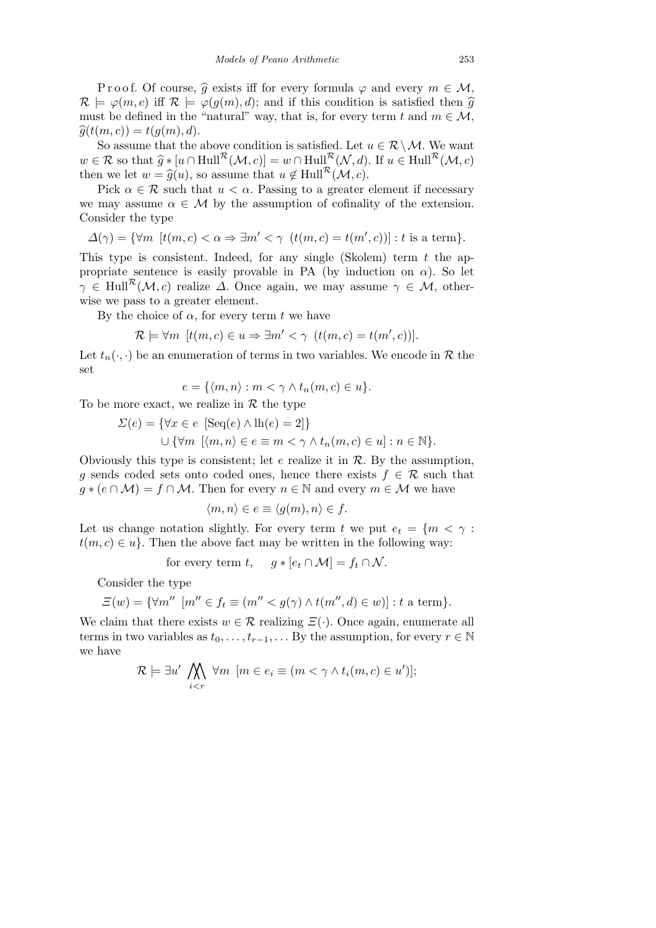Proof. Of course,  $\hat{g}$  exists iff for every formula  $\varphi$  and every  $m \in \mathcal{M}$ ,  $\mathcal{R} \models \varphi(m, c)$  iff  $\mathcal{R} \models \varphi(g(m), d)$ ; and if this condition is satisfied then  $\widehat{g}$ must be defined in the "natural" way, that is, for every term  $t$  and  $m \in \mathcal{M}$ ,  $\widehat{g}(t(m, c)) = t(q(m), d).$ 

So assume that the above condition is satisfied. Let  $u \in \mathcal{R} \setminus \mathcal{M}$ . We want  $w \in \mathcal{R}$  so that  $\widehat{g} * [u \cap Hull^{\mathcal{R}}(\mathcal{M}, c)] = w \cap Hull^{\mathcal{R}}(\mathcal{N}, d)$ . If  $u \in Hull^{\mathcal{R}}(\mathcal{M}, c)$ then we let  $w = \hat{g}(u)$ , so assume that  $u \notin \text{Hull}^{\mathcal{R}}(\mathcal{M}, c)$ .

Pick  $\alpha \in \mathcal{R}$  such that  $u < \alpha$ . Passing to a greater element if necessary we may assume  $\alpha \in \mathcal{M}$  by the assumption of cofinality of the extension. Consider the type

$$
\varDelta(\gamma)=\{\forall m\ \ [t(m,c)<\alpha\Rightarrow \exists m'<\gamma\ \ (t(m,c)=t(m',c))]: t\ \text{is a term}\}.
$$

This type is consistent. Indeed, for any single (Skolem) term *t* the appropriate sentence is easily provable in PA (by induction on  $\alpha$ ). So let  $\gamma \in \text{Hull}^{\mathcal{R}}(\mathcal{M}, c)$  realize  $\Delta$ . Once again, we may assume  $\gamma \in \mathcal{M}$ , otherwise we pass to a greater element.

By the choice of  $\alpha$ , for every term  $t$  we have

$$
\mathcal{R} \models \forall m \ [t(m, c) \in u \Rightarrow \exists m' < \gamma \ (t(m, c) = t(m', c))].
$$

Let  $t_n(\cdot, \cdot)$  be an enumeration of terms in two variables. We encode in  $\mathcal R$  the set

$$
e = \{ \langle m, n \rangle : m < \gamma \wedge t_n(m, c) \in u \}.
$$

To be more exact, we realize in *R* the type

$$
\Sigma(e) = \{ \forall x \in e \ [\text{Seq}(e) \land \text{lh}(e) = 2] \}
$$
  

$$
\cup \{ \forall m \ [\langle m, n \rangle \in e \equiv m < \gamma \land t_n(m, c) \in u] : n \in \mathbb{N} \}.
$$

Obviously this type is consistent; let *e* realize it in *R*. By the assumption, *g* sends coded sets onto coded ones, hence there exists  $f \in \mathcal{R}$  such that  $q * (e \cap M) = f \cap M$ . Then for every  $n \in \mathbb{N}$  and every  $m \in M$  we have

$$
\langle m, n \rangle \in e \equiv \langle g(m), n \rangle \in f.
$$

Let us change notation slightly. For every term *t* we put  $e_t = \{m < \gamma :$  $t(m, c) \in u$ . Then the above fact may be written in the following way:

for every term 
$$
t
$$
,  $g * [e_t \cap M] = f_t \cap N$ .

Consider the type

$$
\Xi(w) = \{ \forall m'' \ [m'' \in f_t \equiv (m'' < g(\gamma) \land t(m'', d) \in w) ] : t \text{ a term} \}.
$$

We claim that there exists  $w \in \mathcal{R}$  realizing  $\Xi(\cdot)$ . Once again, enumerate all terms in two variables as  $t_0, \ldots, t_{r-1}, \ldots$  By the assumption, for every  $r \in \mathbb{N}$ we have  $\mathbf{A}$ 

$$
\mathcal{R} \models \exists u' \bigwedge_{i < r} \forall m \ [m \in e_i \equiv (m < \gamma \land t_i(m, c) \in u')];
$$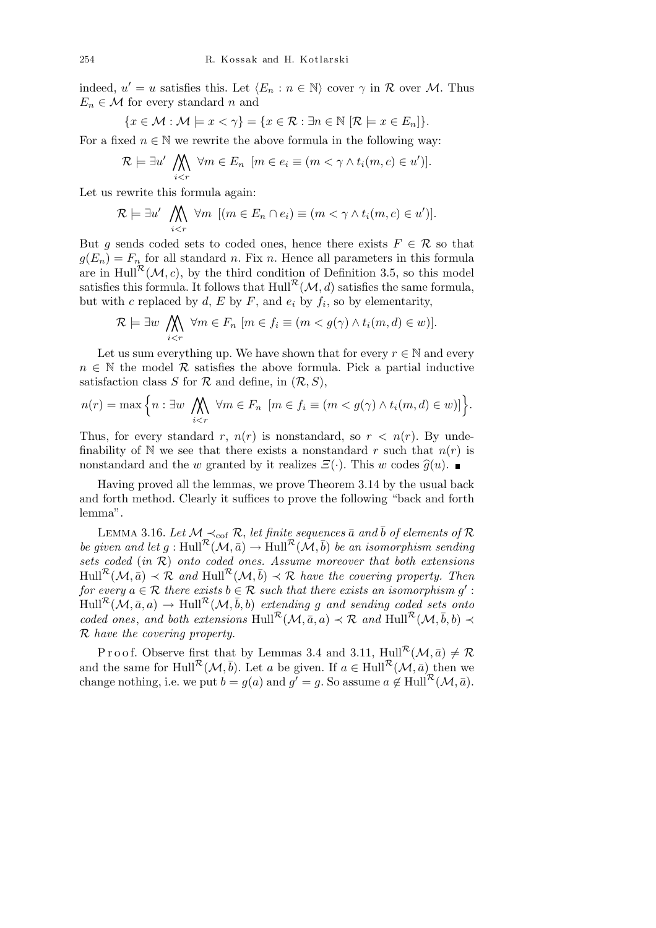indeed,  $u' = u$  satisfies this. Let  $\langle E_n : n \in \mathbb{N} \rangle$  cover  $\gamma$  in  $\mathcal R$  over  $\mathcal M$ . Thus  $E_n \in \mathcal{M}$  for every standard *n* and

$$
\{x \in \mathcal{M} : \mathcal{M} \models x < \gamma\} = \{x \in \mathcal{R} : \exists n \in \mathbb{N} \; [\mathcal{R} \models x \in E_n]\}.
$$

For a fixed  $n \in \mathbb{N}$  we rewrite the above formula in the following way:  $\mathbf{A}$ 

$$
\mathcal{R} \models \exists u' \bigwedge_{i < r} \forall m \in E_n \ [m \in e_i \equiv (m < \gamma \land t_i(m, c) \in u')].
$$

Let us rewrite this formula again:

$$
\mathcal{R} \models \exists u' \bigwedge_{i < r} \forall m \ \ [ (m \in E_n \cap e_i) \equiv (m < \gamma \land t_i(m, c) \in u') ].
$$

But *g* sends coded sets to coded ones, hence there exists  $F \in \mathcal{R}$  so that  $g(E_n) = F_n$  for all standard *n*. Fix *n*. Hence all parameters in this formula are in Hull<sup> $\mathcal{R}(\mathcal{M}, c)$ , by the third condition of Definition 3.5, so this model</sup> satisfies this formula. It follows that  $\text{Hull}^{\mathcal{R}}(\mathcal{M}, d)$  satisfies the same formula, but with *c* replaced by  $d$ ,  $E$  by  $F$ , and  $e_i$  by  $f_i$ , so by elementarity,  $\mathbf{r}$ 

$$
\mathcal{R} \models \exists w \bigwedge_{i < r} \forall m \in F_n \ [m \in f_i \equiv (m < g(\gamma) \land t_i(m, d) \in w)].
$$

Let us sum everything up. We have shown that for every  $r \in \mathbb{N}$  and every  $n \in \mathbb{N}$  the model  $\mathcal R$  satisfies the above formula. Pick a partial inductive satisfaction class *S* for  $R$  and define, in  $(R, S)$ ,

$$
n(r) = \max\Big\{n : \exists w \bigwedge_{i < r} \forall m \in F_n \ [m \in f_i \equiv (m < g(\gamma) \land t_i(m, d) \in w)]\Big\}.
$$

Thus, for every standard *r*,  $n(r)$  is nonstandard, so  $r < n(r)$ . By undefinability of N we see that there exists a nonstandard r such that  $n(r)$  is nonstandard and the *w* granted by it realizes  $\mathcal{E}(\cdot)$ . This *w* codes  $\hat{q}(u)$ .

Having proved all the lemmas, we prove Theorem 3.14 by the usual back and forth method. Clearly it suffices to prove the following "back and forth lemma".

LEMMA 3.16. Let  $M$  ≺<sub>cof</sub>  $R$ , let finite sequences  $\bar{a}$  and  $\bar{b}$  of elements of  $R$ *be given and let*  $g: \text{Hull}^{\mathcal{R}}(\mathcal{M}, \bar{a}) \to \text{Hull}^{\mathcal{R}}(\mathcal{M}, \bar{b})$  *be an isomorphism sending sets coded* (*in R*) *onto coded ones. Assume moreover that both extensions*  $Hull^{\mathcal{R}}(\mathcal{M}, \bar{a}) \prec \mathcal{R}$  and  $Hull^{\mathcal{R}}(\mathcal{M}, \bar{b}) \prec \mathcal{R}$  have the covering property. Then *for every*  $a \in \mathcal{R}$  *there exists*  $b \in \mathcal{R}$  *such that there exists an isomorphism*  $g'$ :  $Hull^{\mathcal{R}}(\mathcal{M}, \bar{a}, a) \rightarrow Hull^{\mathcal{R}}(\mathcal{M}, \bar{b}, b)$  *extending g* and sending coded sets onto *coded ones, and both extensions*  $\text{Hull}^{\mathcal{R}}(\mathcal{M}, \bar{a}, a) \prec \mathcal{R}$  and  $\text{Hull}^{\mathcal{R}}(\mathcal{M}, \bar{b}, b) \prec$ *R have the covering property.*

Proof. Observe first that by Lemmas 3.4 and 3.11,  $\text{Hull}^{\mathcal{R}}(\mathcal{M}, \bar{a}) \neq \mathcal{R}$ and the same for Hull<sup>R</sup>( $M$ ,  $\bar{b}$ ). Let *a* be given. If  $a \in \text{Hull}^{\mathcal{R}}(\mathcal{M}, \bar{a})$  then we change nothing, i.e. we put  $b = g(a)$  and  $g' = g$ . So assume  $a \notin \text{Hull}^{\mathcal{R}}(\mathcal{M}, \bar{a})$ .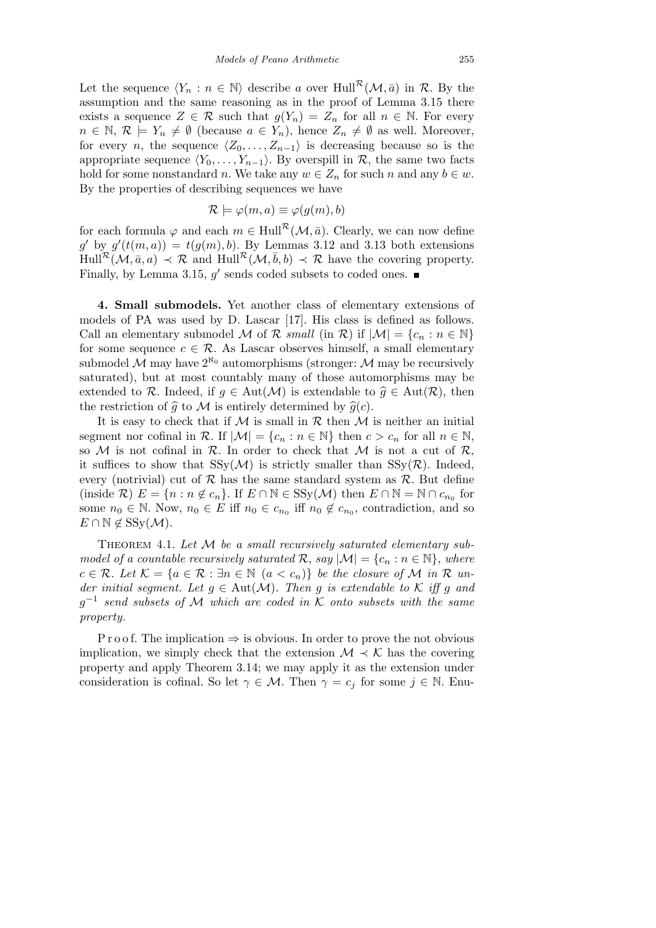Let the sequence  $\langle Y_n : n \in \mathbb{N} \rangle$  describe *a* over Hull<sup>R</sup>(*M,*  $\bar{a}$ ) in R. By the assumption and the same reasoning as in the proof of Lemma 3.15 there exists a sequence  $Z \in \mathcal{R}$  such that  $g(Y_n) = Z_n$  for all  $n \in \mathbb{N}$ . For every  $n \in \mathbb{N}, \mathcal{R} \models Y_n \neq \emptyset$  (because  $a \in Y_n$ ), hence  $Z_n \neq \emptyset$  as well. Moreover, for every *n*, the sequence  $\langle Z_0, \ldots, Z_{n-1} \rangle$  is decreasing because so is the appropriate sequence  $\langle Y_0, \ldots, Y_{n-1} \rangle$ . By overspill in  $\mathcal{R}$ , the same two facts hold for some nonstandard *n*. We take any  $w \in Z_n$  for such *n* and any  $b \in w$ . By the properties of describing sequences we have

$$
\mathcal{R} \models \varphi(m, a) \equiv \varphi(g(m), b)
$$

for each formula  $\varphi$  and each  $m \in \text{Hull}^{\mathcal{R}}(\mathcal{M}, \bar{a})$ . Clearly, we can now define  $g'$  by  $g'(t(m, a)) = t(g(m), b)$ . By Lemmas 3.12 and 3.13 both extensions  $\text{Hull}^{\mathcal{R}}(\mathcal{M}, \bar{a}, a) \prec \mathcal{R}$  and  $\text{Hull}^{\mathcal{R}}(\mathcal{M}, \bar{b}, b) \prec \mathcal{R}$  have the covering property. Finally, by Lemma 3.15,  $g'$  sends coded subsets to coded ones.

**4. Small submodels.** Yet another class of elementary extensions of models of PA was used by D. Lascar [17]. His class is defined as follows. Call an elementary submodel *M* of *R small* (in *R*) if  $|M| = {c_n : n \in \mathbb{N}}$ for some sequence  $c \in \mathcal{R}$ . As Lascar observes himself, a small elementary submodel  $M$  may have  $2^{\aleph_0}$  automorphisms (stronger:  $M$  may be recursively saturated), but at most countably many of those automorphisms may be extended to  $\mathcal{R}$ . Indeed, if  $q \in Aut(\mathcal{M})$  is extendable to  $\hat{q} \in Aut(\mathcal{R})$ , then the restriction of  $\hat{g}$  to  $\mathcal M$  is entirely determined by  $\hat{g}(c)$ .

It is easy to check that if  $M$  is small in  $R$  then  $M$  is neither an initial segment nor cofinal in  $\mathcal{R}$ . If  $|\mathcal{M}| = \{c_n : n \in \mathbb{N}\}\$  then  $c > c_n$  for all  $n \in \mathbb{N}$ , so  $M$  is not cofinal in  $R$ . In order to check that  $M$  is not a cut of  $R$ , it suffices to show that  $SSy(\mathcal{M})$  is strictly smaller than  $SSy(\mathcal{R})$ . Indeed, every (notrivial) cut of  $R$  has the same standard system as  $R$ . But define (inside  $\mathcal{R}$ )  $E = \{n : n \notin c_n\}$ . If  $E \cap \mathbb{N} \in \text{SSy}(\mathcal{M})$  then  $E \cap \mathbb{N} = \mathbb{N} \cap c_{n_0}$  for some  $n_0 \in \mathbb{N}$ . Now,  $n_0 \in E$  iff  $n_0 \in c_{n_0}$  iff  $n_0 \notin c_{n_0}$ , contradiction, and so *E* ∩  $\mathbb{N} \notin \text{SSy}(\mathcal{M})$ .

THEOREM 4.1. Let M be a small recursively saturated elementary sub*model of a countable recursively saturated*  $\mathcal{R}$ ,  $\text{say } |\mathcal{M}| = \{c_n : n \in \mathbb{N}\},\$  where  $c \in \mathcal{R}$ *. Let*  $\mathcal{K} = \{a \in \mathcal{R} : \exists n \in \mathbb{N} \ (a < c_n)\}\$ be the closure of M in  $\mathcal{R}$  *under initial segment. Let*  $g \in Aut(\mathcal{M})$ *. Then*  $g$  *is extendable to*  $K$  *iff*  $g$  *and g −*1 *send subsets of M which are coded in K onto subsets with the same property.*

P r o o f. The implication  $\Rightarrow$  is obvious. In order to prove the not obvious implication, we simply check that the extension  $\mathcal{M} \prec \mathcal{K}$  has the covering property and apply Theorem 3.14; we may apply it as the extension under consideration is cofinal. So let  $\gamma \in \mathcal{M}$ . Then  $\gamma = c_j$  for some  $j \in \mathbb{N}$ . Enu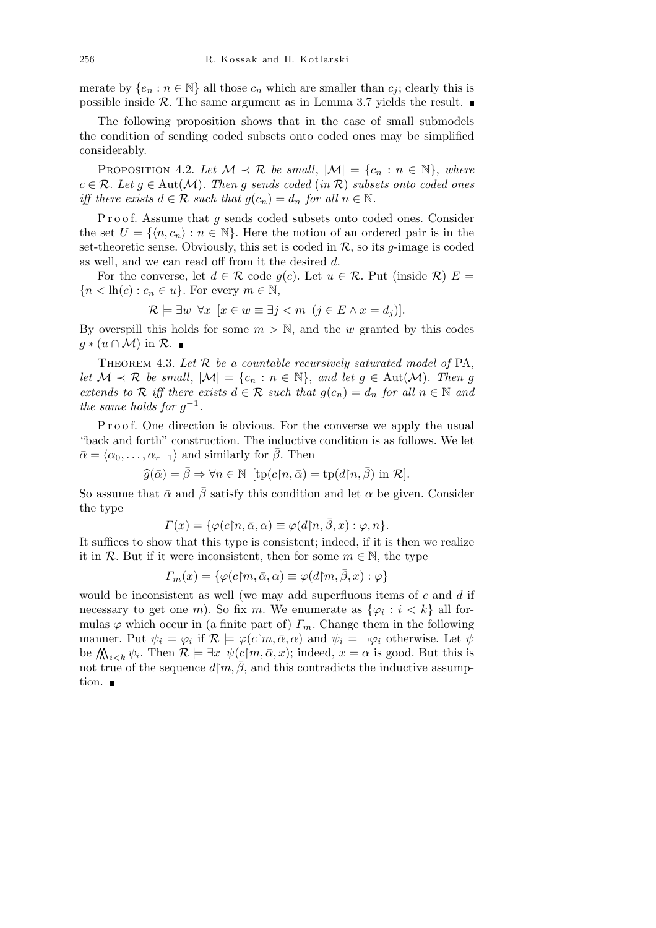merate by  ${e_n : n \in \mathbb{N}}$  all those  $c_n$  which are smaller than  $c_j$ ; clearly this is possible inside  $R$ . The same argument as in Lemma 3.7 yields the result.

The following proposition shows that in the case of small submodels the condition of sending coded subsets onto coded ones may be simplified considerably.

PROPOSITION 4.2. Let  $M \prec \mathcal{R}$  be small,  $|M| = \{c_n : n \in \mathbb{N}\}\$ , where  $c \in \mathcal{R}$ *. Let*  $g \in Aut(\mathcal{M})$ *. Then*  $g$  *sends coded* (*in*  $\mathcal{R}$ ) *subsets onto coded ones iff there exists*  $d \in \mathcal{R}$  *such that*  $q(c_n) = d_n$  *for all*  $n \in \mathbb{N}$ *.* 

Proof. Assume that *g* sends coded subsets onto coded ones. Consider the set  $U = \{ \langle n, c_n \rangle : n \in \mathbb{N} \}$ . Here the notion of an ordered pair is in the set-theoretic sense. Obviously, this set is coded in  $\mathcal{R}$ , so its *g*-image is coded as well, and we can read off from it the desired *d*.

For the converse, let  $d \in \mathcal{R}$  code  $g(c)$ . Let  $u \in \mathcal{R}$ . Put (inside  $\mathcal{R}$ )  $E =$  ${n < h(c) : c_n \in u}$ . For every  $m \in \mathbb{N}$ ,

$$
\mathcal{R} \models \exists w \ \forall x \ [x \in w \equiv \exists j < m \ (j \in E \land x = d_j)].
$$

By overspill this holds for some  $m > N$ , and the *w* granted by this codes *g*  $*$  (*u* ∩ *M*) in  $\mathcal{R}$ . ■

THEOREM 4.3. Let  $R$  be a countable recursively saturated model of  $PA$ , *let*  $M \prec \mathcal{R}$  *be small*,  $|M| = \{c_n : n \in \mathbb{N}\}\$ , and let  $g \in Aut(M)$ . Then g *extends to*  $\mathcal{R}$  *iff there exists*  $d \in \mathcal{R}$  *such that*  $g(c_n) = d_n$  *for all*  $n \in \mathbb{N}$  *and the same holds for*  $g^{-1}$ .

P r o o f. One direction is obvious. For the converse we apply the usual "back and forth" construction. The inductive condition is as follows. We let  $\bar{\alpha} = \langle \alpha_0, \ldots, \alpha_{r-1} \rangle$  and similarly for  $\bar{\beta}$ . Then

$$
\widehat{g}(\bar{\alpha}) = \bar{\beta} \Rightarrow \forall n \in \mathbb{N} \ [\text{tp}(c \restriction n, \bar{\alpha}) = \text{tp}(d \restriction n, \bar{\beta}) \ \text{in} \ \mathcal{R}].
$$

So assume that  $\bar{\alpha}$  and  $\bar{\beta}$  satisfy this condition and let  $\alpha$  be given. Consider the type

$$
\Gamma(x) = \{ \varphi(c \mid n, \bar{\alpha}, \alpha) \equiv \varphi(d \mid n, \bar{\beta}, x) : \varphi, n \}.
$$

It suffices to show that this type is consistent; indeed, if it is then we realize it in  $\mathcal{R}$ . But if it were inconsistent, then for some  $m \in \mathbb{N}$ , the type

$$
\Gamma_m(x) = \{ \varphi(c \mid m, \bar{\alpha}, \alpha) \equiv \varphi(d \mid m, \bar{\beta}, x) : \varphi \}
$$

would be inconsistent as well (we may add superfluous items of *c* and *d* if necessary to get one *m*). So fix *m*. We enumerate as  $\{\varphi_i : i < k\}$  all formulas  $\varphi$  which occur in (a finite part of)  $\Gamma_m$ . Change them in the following manner. Put  $\psi_i = \varphi_i$  if  $\mathcal{R} \models \varphi(c \mid m, \bar{\alpha}, \alpha)$  and  $\psi_i = \neg \varphi_i$  otherwise. Let  $\psi$ manner. Fut  $\psi_i = \varphi_i$  if  $\kappa \models \varphi(c|m, \alpha, \alpha)$  and  $\psi_i = \neg \varphi_i$  otherwise. Let  $\psi$ <br>be  $\bigwedge_{i \leq k} \psi_i$ . Then  $\mathcal{R} \models \exists x \; \psi(c|m, \bar{\alpha}, x)$ ; indeed,  $x = \alpha$  is good. But this is not true of the sequence  $d \mid m, \beta$ , and this contradicts the inductive assumption.  $\blacksquare$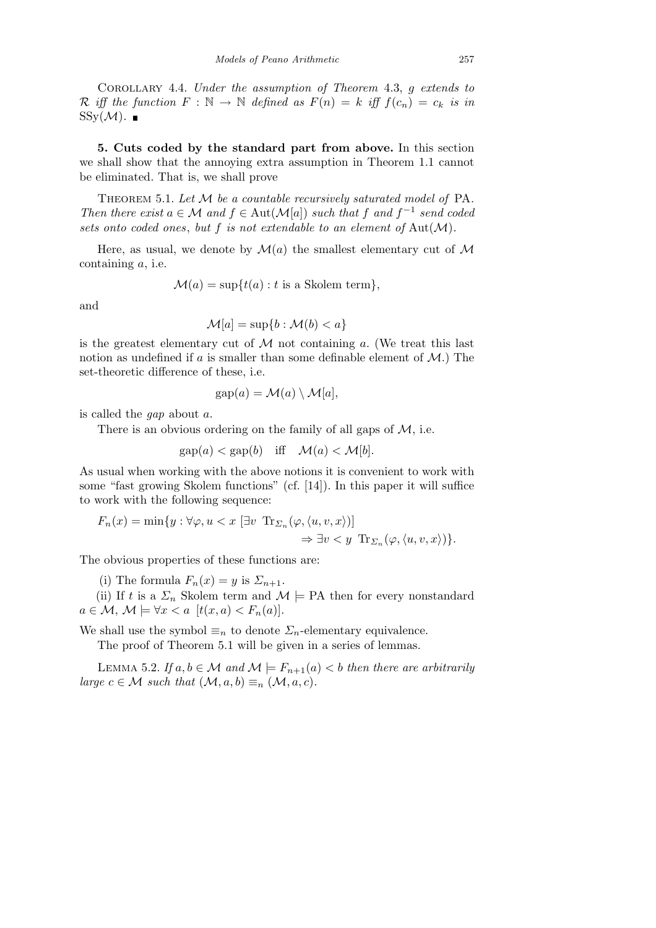Corollary 4.4. *Under the assumption of Theorem* 4.3, *g extends to R* iff the function  $F : \mathbb{N} \to \mathbb{N}$  defined as  $F(n) = k$  iff  $f(c_n) = c_k$  is in  $SSy(\mathcal{M})$ .

**5. Cuts coded by the standard part from above.** In this section we shall show that the annoying extra assumption in Theorem 1.1 cannot be eliminated. That is, we shall prove

Theorem 5.1. *Let M be a countable recursively saturated model of* PA*. Then there exist*  $a \in \mathcal{M}$  *and*  $f \in Aut(\mathcal{M}[a])$  *such that*  $f$  *and*  $f^{-1}$  *send coded sets onto coded ones*, *but f is not extendable to an element of* Aut(*M*)*.*

Here, as usual, we denote by  $\mathcal{M}(a)$  the smallest elementary cut of  $\mathcal M$ containing *a*, i.e.

 $\mathcal{M}(a) = \sup\{t(a) : t \text{ is a Skolem term}\},\$ 

and

$$
\mathcal{M}[a] = \sup\{b : \mathcal{M}(b) < a\}
$$

is the greatest elementary cut of  $M$  not containing  $a$ . (We treat this last notion as undefined if *a* is smaller than some definable element of *M*.) The set-theoretic difference of these, i.e.

$$
gap(a) = \mathcal{M}(a) \setminus \mathcal{M}[a],
$$

is called the *gap* about *a*.

There is an obvious ordering on the family of all gaps of *M*, i.e.

$$
gap(a) < gap(b) \quad \text{iff} \quad \mathcal{M}(a) < \mathcal{M}[b].
$$

As usual when working with the above notions it is convenient to work with some "fast growing Skolem functions" (cf. [14]). In this paper it will suffice to work with the following sequence:

$$
F_n(x) = \min\{y : \forall \varphi, u < x \; [\exists v \; \text{Tr}_{\Sigma_n}(\varphi, \langle u, v, x \rangle)] \; \Rightarrow \; \exists v < y \; \text{Tr}_{\Sigma_n}(\varphi, \langle u, v, x \rangle) \}.
$$

The obvious properties of these functions are:

(i) The formula  $F_n(x) = y$  is  $\Sigma_{n+1}$ .

(ii) If *t* is a  $\Sigma_n$  Skolem term and  $\mathcal{M} \models PA$  then for every nonstandard  $a \in \mathcal{M}, \mathcal{M} \models \forall x < a \ [t(x,a) < F_n(a)].$ 

We shall use the symbol  $\equiv_n$  to denote  $\Sigma_n$ -elementary equivalence.

The proof of Theorem 5.1 will be given in a series of lemmas.

LEMMA 5.2. *If*  $a, b \in M$  *and*  $M \models F_{n+1}(a) < b$  *then there are arbitrarily large*  $c \in \mathcal{M}$  *such that*  $(\mathcal{M}, a, b) \equiv_n (\mathcal{M}, a, c)$ *.*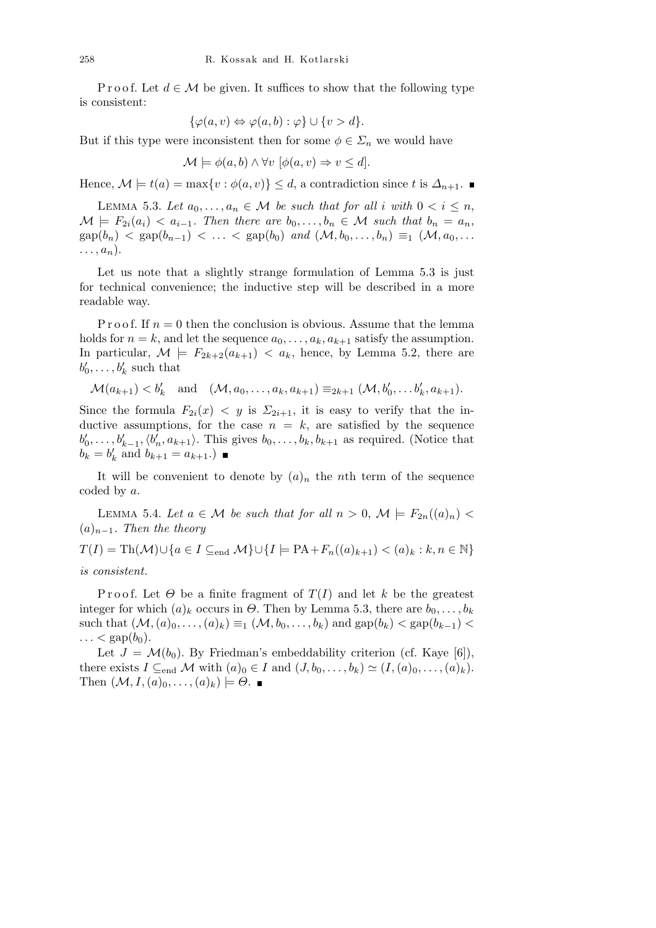P r o o f. Let  $d \in \mathcal{M}$  be given. It suffices to show that the following type is consistent:

$$
\{\varphi(a,v)\Leftrightarrow \varphi(a,b): \varphi\} \cup \{v>d\}.
$$

But if this type were inconsistent then for some  $\phi \in \Sigma_n$  we would have

$$
\mathcal{M} \models \phi(a, b) \land \forall v \ [\phi(a, v) \Rightarrow v \leq d].
$$

Hence,  $\mathcal{M} \models t(a) = \max\{v : \phi(a, v)\} \leq d$ , a contradiction since *t* is  $\Delta_{n+1}$ .

LEMMA 5.3. Let  $a_0, \ldots, a_n \in \mathcal{M}$  be such that for all *i* with  $0 < i \leq n$ ,  $\mathcal{M} \models F_{2i}(a_i) < a_{i-1}$ . Then there are  $b_0, \ldots, b_n \in \mathcal{M}$  such that  $b_n = a_n$ ,  $\exp(b_n) < \exp(b_{n-1}) < \ldots < \exp(b_0) \text{ and } (\mathcal{M}, b_0, \ldots, b_n) \equiv_1 (\mathcal{M}, a_0, \ldots)$  $\ldots$ ,  $a_n$ ).

Let us note that a slightly strange formulation of Lemma 5.3 is just for technical convenience; the inductive step will be described in a more readable way.

P r o o f. If  $n = 0$  then the conclusion is obvious. Assume that the lemma holds for  $n = k$ , and let the sequence  $a_0, \ldots, a_k, a_{k+1}$  satisfy the assumption. In particular,  $\mathcal{M} \models F_{2k+2}(a_{k+1}) \langle a_k, \text{ hence, by Lemma 5.2, there are }$  $b'_0, \ldots, b'_k$  such that

$$
\mathcal{M}(a_{k+1}) < b'_k \quad \text{and} \quad (\mathcal{M}, a_0, \dots, a_k, a_{k+1}) \equiv_{2k+1} (\mathcal{M}, b'_0, \dots, b'_k, a_{k+1}).
$$

Since the formula  $F_{2i}(x) < y$  is  $\Sigma_{2i+1}$ , it is easy to verify that the inductive assumptions, for the case  $n = k$ , are satisfied by the sequence  $b'_0, \ldots, b'_{k-1}, \langle b'_n, a_{k+1} \rangle$ . This gives  $b_0, \ldots, b_k, b_{k+1}$  as required. (Notice that  $b_k = b'_k$  and  $b_{k+1} = a_{k+1}$ .)

It will be convenient to denote by  $(a)_n$  the *n*th term of the sequence coded by *a*.

LEMMA 5.4. Let  $a \in \mathcal{M}$  be such that for all  $n > 0$ ,  $\mathcal{M} \models F_{2n}((a)_n)$ (*a*)*n−*1*. Then the theory*

*T*(*I*) = Th(*M*)∪{ $a \in I \subseteq$ <sub>end</sub> *M*}∪{ $I \models PA + F_n((a)_{k+1}) < (a)_k : k, n \in \mathbb{N}$ }

*is consistent.*

Proof. Let  $\Theta$  be a finite fragment of  $T(I)$  and let k be the greatest integer for which  $(a)_k$  occurs in  $\Theta$ . Then by Lemma 5.3, there are  $b_0, \ldots, b_k$ such that  $(M, (a)_0, \ldots, (a)_k) \equiv_1 (M, b_0, \ldots, b_k)$  and  $\text{gap}(b_k) < \text{gap}(b_{k-1})$  $\ldots$  < gap $(b_0)$ .

Let  $J = \mathcal{M}(b_0)$ . By Friedman's embeddability criterion (cf. Kaye [6]), there exists  $I \subseteq_{end} M$  with  $(a)_0 \in I$  and  $(J, b_0, \ldots, b_k) \simeq (I, (a)_0, \ldots, (a)_k)$ .  $\text{Then } (\mathcal{M}, I, (a)_0, \ldots, (a)_k) \models \Theta.$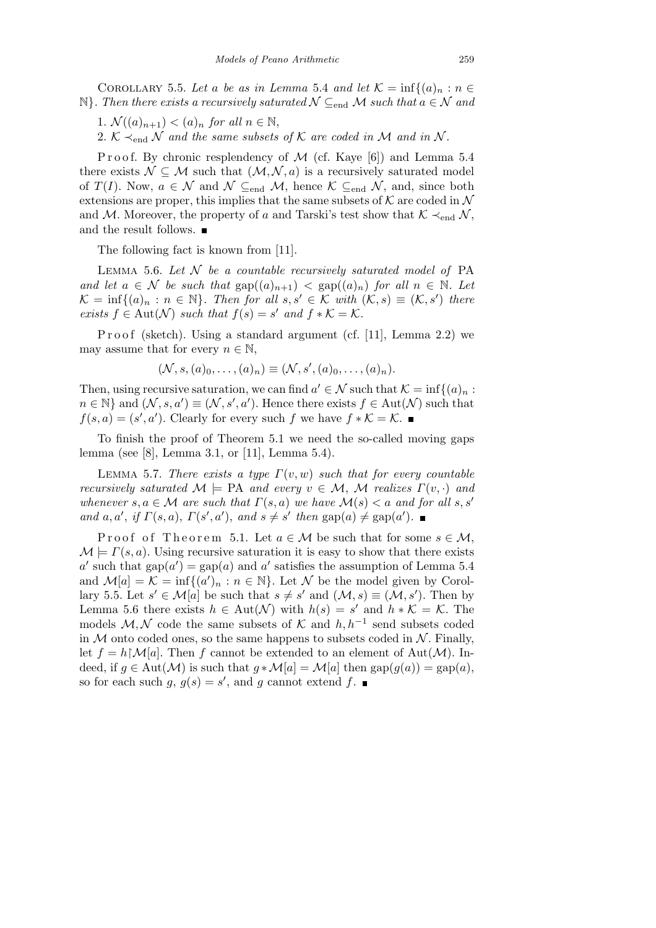COROLLARY 5.5. Let a be as in Lemma 5.4 and let  $K = \inf\{(a)_n : n \in$  $\mathbb{N}$ *. Then there exists a recursively saturated*  $N \subseteq_{\text{end}} M$  *such that*  $a \in \mathcal{N}$  *and* 

1.  $\mathcal{N}((a)_{n+1}) < (a)_n$  *for all*  $n \in \mathbb{N}$ ,

2.  $K \prec_{end} N$  *and the same subsets of*  $K$  *are coded in*  $M$  *and in*  $N$ *.* 

P r o o f. By chronic resplendency of M (cf. Kaye [6]) and Lemma 5.4 there exists  $N \subseteq M$  such that  $(M, N, a)$  is a recursively saturated model of *T*(*I*). Now,  $a \in \mathcal{N}$  and  $\mathcal{N} \subseteq_{\text{end}} \mathcal{M}$ , hence  $\mathcal{K} \subseteq_{\text{end}} \mathcal{N}$ , and, since both extensions are proper, this implies that the same subsets of  $K$  are coded in  $N$ and *M*. Moreover, the property of *a* and Tarski's test show that  $K \prec_{end} N$ , and the result follows.  $\blacksquare$ 

The following fact is known from [11].

Lemma 5.6. *Let N be a countable recursively saturated model of* PA *and let*  $a \in \mathcal{N}$  *be such that*  $\text{gap}((a)_{n+1}) < \text{gap}((a)_n)$  *for all*  $n \in \mathbb{N}$ *. Let*  $\mathcal{K} = \inf\{(a)_n : n \in \mathbb{N}\}\$ . Then for all  $s, s' \in \mathcal{K}$  with  $(\mathcal{K}, s) \equiv (\mathcal{K}, s')$  there *exists*  $f \in Aut(\mathcal{N})$  *such that*  $f(s) = s'$  *and*  $f * K = K$ *.* 

Proof (sketch). Using a standard argument (cf. [11], Lemma 2.2) we may assume that for every  $n \in \mathbb{N}$ ,

$$
(\mathcal{N}, s, (a)_0, \ldots, (a)_n) \equiv (\mathcal{N}, s', (a)_0, \ldots, (a)_n).
$$

Then, using recursive saturation, we can find  $a' \in \mathcal{N}$  such that  $\mathcal{K} = \inf\{(a)_n :$  $n \in \mathbb{N}$  and  $(\mathcal{N}, s, a') \equiv (\mathcal{N}, s', a')$ . Hence there exists  $f \in Aut(\mathcal{N})$  such that  $f(s, a) = (s', a')$ . Clearly for every such *f* we have  $f * K = K$ .

To finish the proof of Theorem 5.1 we need the so-called moving gaps lemma (see [8], Lemma 3.1, or [11], Lemma 5.4).

LEMMA 5.7. *There exists a type*  $\Gamma(v, w)$  *such that for every countable recursively saturated*  $M \models PA$  *and every*  $v \in M$ , M *realizes*  $\Gamma(v, \cdot)$  *and whenever*  $s, a \in \mathcal{M}$  *are such that*  $\Gamma(s, a)$  *we have*  $\mathcal{M}(s) < a$  *and for all*  $s, s'$ and a, a', if  $\Gamma(s, a)$ ,  $\Gamma(s', a')$ , and  $s \neq s'$  then  $\text{gap}(a) \neq \text{gap}(a')$ .

Proof of Theorem 5.1. Let  $a \in M$  be such that for some  $s \in M$ .  $\mathcal{M} \models \Gamma(s, a)$ . Using recursive saturation it is easy to show that there exists *a*<sup>*o*</sup> such that gap(*a*<sup> $\prime$ </sup>) = gap(*a*) and *a*<sup> $\prime$ </sup> satisfies the assumption of Lemma 5.4 and  $\mathcal{M}[a] = \mathcal{K} = \inf\{(a')_n : n \in \mathbb{N}\}\$ . Let  $\mathcal{N}$  be the model given by Corollary 5.5. Let  $s' \in M[a]$  be such that  $s \neq s'$  and  $(M, s) \equiv (M, s')$ . Then by Lemma 5.6 there exists  $h \in \text{Aut}(\mathcal{N})$  with  $h(s) = s'$  and  $h * \mathcal{K} = \mathcal{K}$ . The models  $M, N$  code the same subsets of  $K$  and  $h, h^{-1}$  send subsets coded in  $M$  onto coded ones, so the same happens to subsets coded in  $N$ . Finally, let  $f = h \, \mathcal{M}[a]$ . Then f cannot be extended to an element of Aut $(\mathcal{M})$ . Indeed, if  $g \in Aut(\mathcal{M})$  is such that  $g * \mathcal{M}[a] = \mathcal{M}[a]$  then  $\text{gap}(g(a)) = \text{gap}(a)$ , so for each such  $g, g(s) = s'$ , and  $g$  cannot extend  $f$ .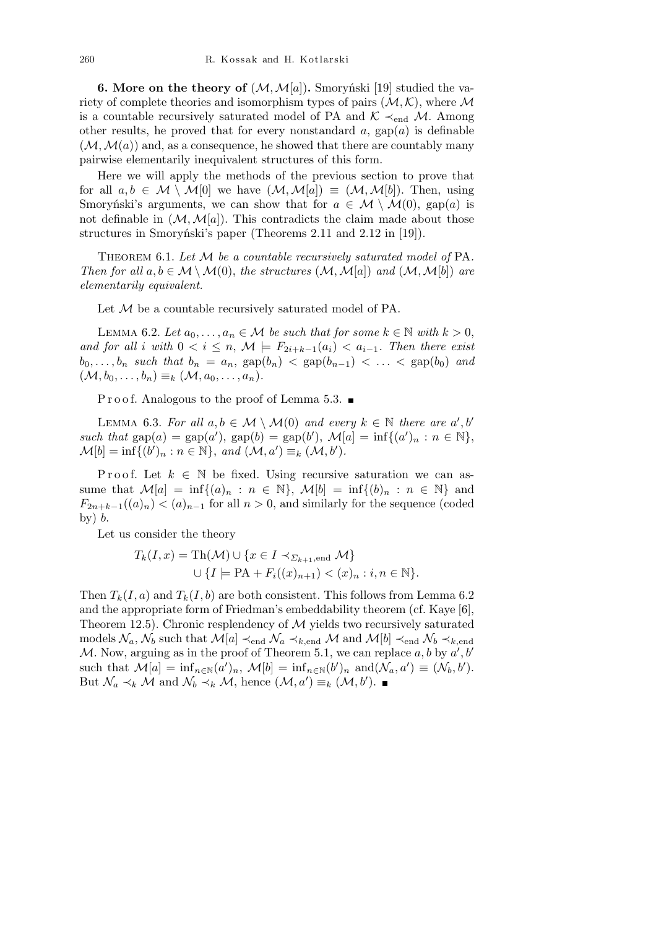**6. More on the theory of**  $(M, M[a])$ . Smoryński [19] studied the variety of complete theories and isomorphism types of pairs  $(M, K)$ , where M is a countable recursively saturated model of PA and  $K \prec_{end} M$ . Among other results, he proved that for every nonstandard  $a$ ,  $\text{gap}(a)$  is definable  $(\mathcal{M}, \mathcal{M}(a))$  and, as a consequence, he showed that there are countably many pairwise elementarily inequivalent structures of this form.

Here we will apply the methods of the previous section to prove that for all  $a, b \in \mathcal{M} \setminus \mathcal{M}[0]$  we have  $(\mathcal{M}, \mathcal{M}[a]) \equiv (\mathcal{M}, \mathcal{M}[b])$ . Then, using Smoryński's arguments, we can show that for  $a \in \mathcal{M} \setminus \mathcal{M}(0)$ , gap(*a*) is not definable in  $(\mathcal{M}, \mathcal{M}[a])$ . This contradicts the claim made about those structures in Smoryński's paper (Theorems 2.11 and 2.12 in [19]).

Theorem 6.1. *Let M be a countable recursively saturated model of* PA*. Then for all*  $a, b \in M \setminus M(0)$ , *the structures*  $(M, M[a])$  *and*  $(M, M[b])$  *are elementarily equivalent.*

Let *M* be a countable recursively saturated model of PA.

LEMMA 6.2. Let  $a_0, \ldots, a_n \in \mathcal{M}$  be such that for some  $k \in \mathbb{N}$  with  $k > 0$ , *and for all i with*  $0 < i \leq n$ ,  $\mathcal{M} \models F_{2i+k-1}(a_i) < a_{i-1}$ . Then there exist  $b_0, \ldots, b_n$  *such that*  $b_n = a_n$ ,  $\text{gap}(b_n) < \text{gap}(b_{n-1}) < \ldots < \text{gap}(b_0)$  *and*  $({\cal M}, b_0, \ldots, b_n) \equiv_k ({\cal M}, a_0, \ldots, a_n).$ 

P r o o f. Analogous to the proof of Lemma 5.3.  $\blacksquare$ 

LEMMA 6.3. For all  $a, b \in M \setminus M(0)$  and every  $k \in \mathbb{N}$  there are  $a', b'$ *such that*  $\text{gap}(a) = \text{gap}(a')$ ,  $\text{gap}(b) = \text{gap}(b')$ ,  $\mathcal{M}[a] = \inf\{(a')_n : n \in \mathbb{N}\},$  $\mathcal{M}[b] = \inf\{(b')_n : n \in \mathbb{N}\}, \text{ and } (\mathcal{M}, a') \equiv_k (\mathcal{M}, b').$ 

Proof. Let  $k \in \mathbb{N}$  be fixed. Using recursive saturation we can assume that  $\mathcal{M}[a] = \inf\{(a)_n : n \in \mathbb{N}\}, \mathcal{M}[b] = \inf\{(b)_n : n \in \mathbb{N}\}\$ and  $F_{2n+k-1}((a)_n) < (a)_{n-1}$  for all  $n > 0$ , and similarly for the sequence (coded by) *b*.

Let us consider the theory

$$
T_k(I, x) = \text{Th}(\mathcal{M}) \cup \{x \in I \prec_{\Sigma_{k+1}, \text{end}} \mathcal{M}\}
$$

$$
\cup \{I \models \text{PA} + F_i((x)_{n+1}) < (x)_n : i, n \in \mathbb{N}\}.
$$

Then  $T_k(I, a)$  and  $T_k(I, b)$  are both consistent. This follows from Lemma 6.2 and the appropriate form of Friedman's embeddability theorem (cf. Kaye [6], Theorem 12.5). Chronic resplendency of *M* yields two recursively saturated models  $\mathcal{N}_a$ ,  $\mathcal{N}_b$  such that  $\mathcal{M}[a] \prec_{end} \mathcal{N}_a \prec_{k, end} \mathcal{M}$  and  $\mathcal{M}[b] \prec_{end} \mathcal{N}_b \prec_{k, end}$ *M*. Now, arguing as in the proof of Theorem 5.1, we can replace  $a, b$  by  $a', b'$ such that  $\mathcal{M}[a] = \inf_{n \in \mathbb{N}} (a')_n$ ,  $\mathcal{M}[b] = \inf_{n \in \mathbb{N}} (b')_n$  and  $(\mathcal{N}_a, a') \equiv (\mathcal{N}_b, b')$ . But  $\mathcal{N}_a \prec_k \mathcal{M}$  and  $\mathcal{N}_b \prec_k \mathcal{M}$ , hence  $(\mathcal{M}, a') \equiv_k (\mathcal{M}, b')$ .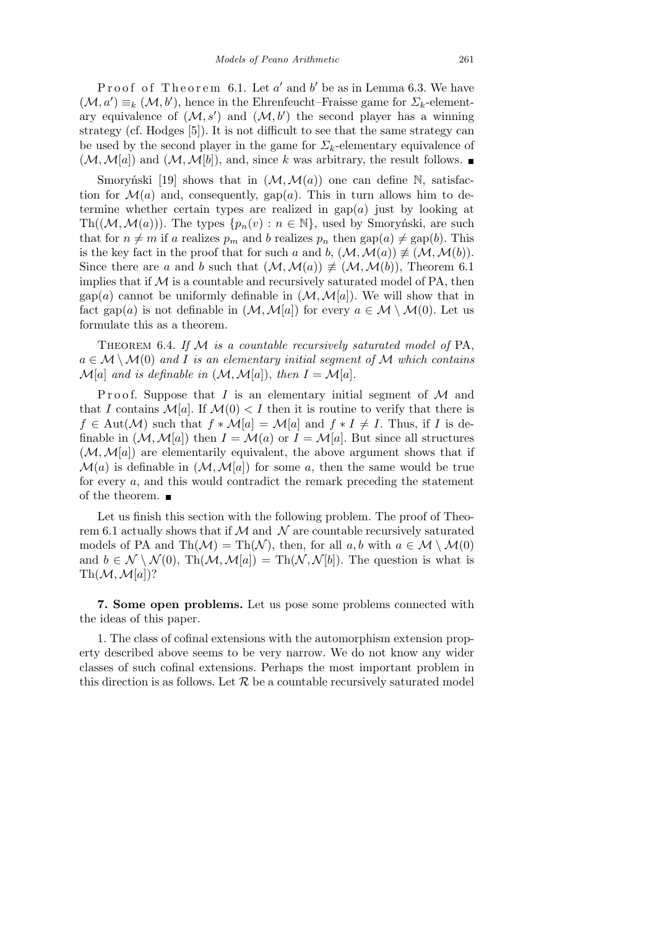Proof of Theorem 6.1. Let *a'* and *b'* be as in Lemma 6.3. We have  $(\mathcal{M}, a') \equiv_k (\mathcal{M}, b')$ , hence in the Ehrenfeucht–Fraisse game for  $\Sigma_k$ -elementary equivalence of  $(M, s')$  and  $(M, b')$  the second player has a winning strategy (cf. Hodges [5]). It is not difficult to see that the same strategy can be used by the second player in the game for  $\Sigma_k$ -elementary equivalence of  $(\mathcal{M}, \mathcal{M}[a])$  and  $(\mathcal{M}, \mathcal{M}[b])$ , and, since *k* was arbitrary, the result follows.

Smoryński [19] shows that in  $(\mathcal{M}, \mathcal{M}(a))$  one can define N, satisfaction for  $\mathcal{M}(a)$  and, consequently, gap $(a)$ . This in turn allows him to determine whether certain types are realized in  $\text{gap}(a)$  just by looking at Th( $(M, M(a))$ ). The types  $\{p_n(v) : n \in \mathbb{N}\}\$ , used by Smoryński, are such that for  $n \neq m$  if *a* realizes  $p_m$  and *b* realizes  $p_n$  then  $\text{gap}(a) \neq \text{gap}(b)$ . This is the key fact in the proof that for such *a* and *b*,  $(\mathcal{M}, \mathcal{M}(a)) \not\equiv (\mathcal{M}, \mathcal{M}(b)).$ Since there are *a* and *b* such that  $(\mathcal{M}, \mathcal{M}(a)) \not\equiv (\mathcal{M}, \mathcal{M}(b))$ , Theorem 6.1 implies that if  $M$  is a countable and recursively saturated model of PA, then gap(*a*) cannot be uniformly definable in  $(\mathcal{M}, \mathcal{M}[a])$ . We will show that in fact gap(*a*) is not definable in  $(\mathcal{M}, \mathcal{M}[a])$  for every  $a \in \mathcal{M} \setminus \mathcal{M}(0)$ . Let us formulate this as a theorem.

Theorem 6.4. *If M is a countable recursively saturated model of* PA,  $a \in \mathcal{M} \setminus \mathcal{M}(0)$  *and I is an elementary initial segment of*  $\mathcal{M}$  *which contains M*[*a*] *and is definable in*  $(M, M[a])$ , *then*  $I = M[a]$ *.* 

Proof. Suppose that *I* is an elementary initial segment of *M* and that *I* contains  $\mathcal{M}[a]$ . If  $\mathcal{M}(0) < I$  then it is routine to verify that there is  $f \in Aut(\mathcal{M})$  such that  $f * \mathcal{M}[a] = \mathcal{M}[a]$  and  $f * I \neq I$ . Thus, if *I* is definable in  $(\mathcal{M}, \mathcal{M}[a])$  then  $I = \mathcal{M}(a)$  or  $I = \mathcal{M}[a]$ . But since all structures  $(M, M[a])$  are elementarily equivalent, the above argument shows that if  $\mathcal{M}(a)$  is definable in  $(\mathcal{M}, \mathcal{M}[a])$  for some *a*, then the same would be true for every *a*, and this would contradict the remark preceding the statement of the theorem.  $\blacksquare$ 

Let us finish this section with the following problem. The proof of Theorem 6.1 actually shows that if  $M$  and  $N$  are countable recursively saturated models of PA and  $\text{Th}(\mathcal{M}) = \text{Th}(\mathcal{N})$ , then, for all  $a, b$  with  $a \in \mathcal{M} \setminus \mathcal{M}(0)$ and  $b \in \mathcal{N} \setminus \mathcal{N}(0)$ , Th $(\mathcal{M}, \mathcal{M}[a]) = \text{Th}(\mathcal{N}, \mathcal{N}[b])$ . The question is what is  $\text{Th}(\mathcal{M}, \mathcal{M}[a])$ ?

**7. Some open problems.** Let us pose some problems connected with the ideas of this paper.

1. The class of cofinal extensions with the automorphism extension property described above seems to be very narrow. We do not know any wider classes of such cofinal extensions. Perhaps the most important problem in this direction is as follows. Let  $\mathcal R$  be a countable recursively saturated model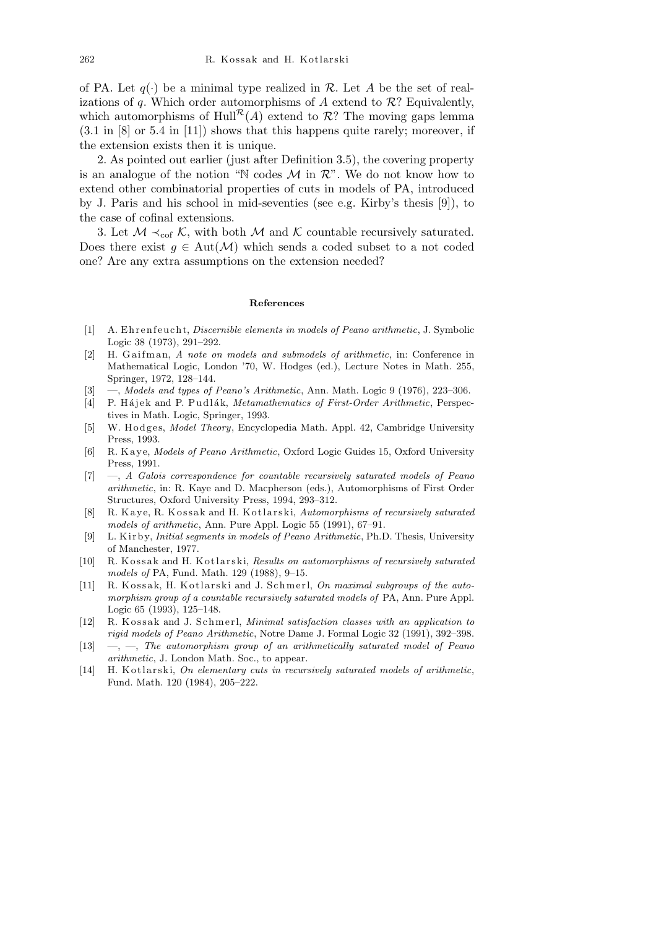of PA. Let  $q(\cdot)$  be a minimal type realized in  $\mathcal R$ . Let  $A$  be the set of realizations of *q*. Which order automorphisms of *A* extend to  $\mathcal{R}$ ? Equivalently, which automorphisms of Hull<sup> $\mathcal{R}(A)$ </sup> extend to  $\mathcal{R}$ ? The moving gaps lemma (3.1 in [8] or 5.4 in [11]) shows that this happens quite rarely; moreover, if the extension exists then it is unique.

2. As pointed out earlier (just after Definition 3.5), the covering property is an analogue of the notion "N codes  $M$  in  $\mathcal{R}$ ". We do not know how to extend other combinatorial properties of cuts in models of PA, introduced by J. Paris and his school in mid-seventies (see e.g. Kirby's thesis [9]), to the case of cofinal extensions.

3. Let  $M \prec_{\text{cof}} K$ , with both  $M$  and  $K$  countable recursively saturated. Does there exist  $g \in Aut(\mathcal{M})$  which sends a coded subset to a not coded one? Are any extra assumptions on the extension needed?

## **References**

- [1] A. Ehrenfeucht, *Discernible elements in models of Peano arithmetic*, J. Symbolic Logic 38 (1973), 291–292.
- [2] H. Gaifman, *A note on models and submodels of arithmetic*, in: Conference in Mathematical Logic, London '70, W. Hodges (ed.), Lecture Notes in Math. 255, Springer, 1972, 128–144.
- [3] —, *Models and types of Peano's Arithmetic*, Ann. Math. Logic 9 (1976), 223–306.
- [4] P. Hájek and P. Pudlák, *Metamathematics of First-Order Arithmetic*, Perspectives in Math. Logic, Springer, 1993.
- [5] W. Hodges, *Model Theory*, Encyclopedia Math. Appl. 42, Cambridge University Press, 1993.
- [6] R. Kaye, *Models of Peano Arithmetic*, Oxford Logic Guides 15, Oxford University Press, 1991.
- [7] —, *A Galois correspondence for countable recursively saturated models of Peano arithmetic*, in: R. Kaye and D. Macpherson (eds.), Automorphisms of First Order Structures, Oxford University Press, 1994, 293–312.
- [8] R. Kaye, R. Kossak and H. Kotlarski, *Automorphisms of recursively saturated models of arithmetic*, Ann. Pure Appl. Logic 55 (1991), 67–91.
- [9] L. Ki r b y, *Initial segments in models of Peano Arithmetic*, Ph.D. Thesis, University of Manchester, 1977.
- [10] R. Kossak and H. Kotlarski, *Results on automorphisms of recursively saturated models of* PA, Fund. Math. 129 (1988), 9–15.
- [11] R. Kossak, H. Kotlarski and J. Schmerl, *On maximal subgroups of the automorphism group of a countable recursively saturated models of* PA, Ann. Pure Appl. Logic 65 (1993), 125–148.
- [12] R. Kossak and J. Schmerl, *Minimal satisfaction classes with an application to rigid models of Peano Arithmetic*, Notre Dame J. Formal Logic 32 (1991), 392–398.
- [13] —, —, *The automorphism group of an arithmetically saturated model of Peano arithmetic*, J. London Math. Soc., to appear.
- [14] H. K otlarski, *On elementary cuts in recursively saturated models of arithmetic*, Fund. Math. 120 (1984), 205–222.